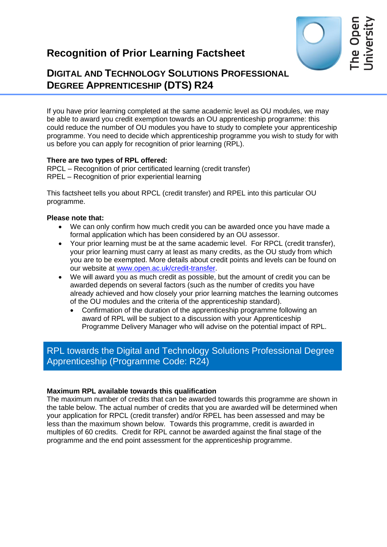# **Recognition of Prior Learning Factsheet**



# **DIGITAL AND TECHNOLOGY SOLUTIONS PROFESSIONAL DEGREE APPRENTICESHIP (DTS) R24**

If you have prior learning completed at the same academic level as OU modules, we may be able to award you credit exemption towards an OU apprenticeship programme: this could reduce the number of OU modules you have to study to complete your apprenticeship programme. You need to decide which apprenticeship programme you wish to study for with us before you can apply for recognition of prior learning (RPL).

#### **There are two types of RPL offered:**

RPCL – Recognition of prior certificated learning (credit transfer) RPEL – Recognition of prior experiential learning

This factsheet tells you about RPCL (credit transfer) and RPEL into this particular OU programme.

### **Please note that:**

- We can only confirm how much credit you can be awarded once you have made a formal application which has been considered by an OU assessor.
- Your prior learning must be at the same academic level. For RPCL (credit transfer), your prior learning must carry at least as many credits, as the OU study from which you are to be exempted. More details about credit points and levels can be found on our website at [www.open.ac.uk/credit-transfer.](http://www.open.ac.uk/credit-transfer)
- We will award you as much credit as possible, but the amount of credit you can be awarded depends on several factors (such as the number of credits you have already achieved and how closely your prior learning matches the learning outcomes of the OU modules and the criteria of the apprenticeship standard).
	- Confirmation of the duration of the apprenticeship programme following an award of RPL will be subject to a discussion with your Apprenticeship Programme Delivery Manager who will advise on the potential impact of RPL.

# RPL towards the Digital and Technology Solutions Professional Degree Apprenticeship (Programme Code: R24)

#### **Maximum RPL available towards this qualification**

The maximum number of credits that can be awarded towards this programme are shown in the table below. The actual number of credits that you are awarded will be determined when your application for RPCL (credit transfer) and/or RPEL has been assessed and may be less than the maximum shown below. Towards this programme, credit is awarded in multiples of 60 credits. Credit for RPL cannot be awarded against the final stage of the programme and the end point assessment for the apprenticeship programme.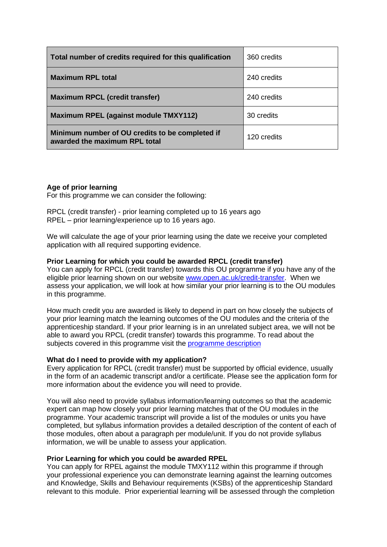| Total number of credits required for this qualification                          | 360 credits |
|----------------------------------------------------------------------------------|-------------|
| <b>Maximum RPL total</b>                                                         | 240 credits |
| <b>Maximum RPCL (credit transfer)</b>                                            | 240 credits |
| <b>Maximum RPEL (against module TMXY112)</b>                                     | 30 credits  |
| Minimum number of OU credits to be completed if<br>awarded the maximum RPL total | 120 credits |

### **Age of prior learning**

For this programme we can consider the following:

RPCL (credit transfer) - prior learning completed up to 16 years ago RPEL – prior learning/experience up to 16 years ago.

We will calculate the age of your prior learning using the date we receive your completed application with all required supporting evidence.

#### **Prior Learning for which you could be awarded RPCL (credit transfer)**

You can apply for RPCL (credit transfer) towards this OU programme if you have any of the eligible prior learning shown on our website [www.open.ac.uk/credit-transfer.](http://www.open.ac.uk/credit-transfer) When we assess your application, we will look at how similar your prior learning is to the OU modules in this programme.

How much credit you are awarded is likely to depend in part on how closely the subjects of your prior learning match the learning outcomes of the OU modules and the criteria of the apprenticeship standard. If your prior learning is in an unrelated subject area, we will not be able to award you RPCL (credit transfer) towards this programme. To read about the subjects covered in this programme visit the [programme description](https://info1.open.ac.uk/digital-apprenticeship-resources)

#### **What do I need to provide with my application?**

Every application for RPCL (credit transfer) must be supported by official evidence, usually in the form of an academic transcript and/or a certificate. Please see the application form for more information about the evidence you will need to provide.

You will also need to provide syllabus information/learning outcomes so that the academic expert can map how closely your prior learning matches that of the OU modules in the programme. Your academic transcript will provide a list of the modules or units you have completed, but syllabus information provides a detailed description of the content of each of those modules, often about a paragraph per module/unit. If you do not provide syllabus information, we will be unable to assess your application.

#### **Prior Learning for which you could be awarded RPEL**

You can apply for RPEL against the module TMXY112 within this programme if through your professional experience you can demonstrate learning against the learning outcomes and Knowledge, Skills and Behaviour requirements (KSBs) of the apprenticeship Standard relevant to this module. Prior experiential learning will be assessed through the completion